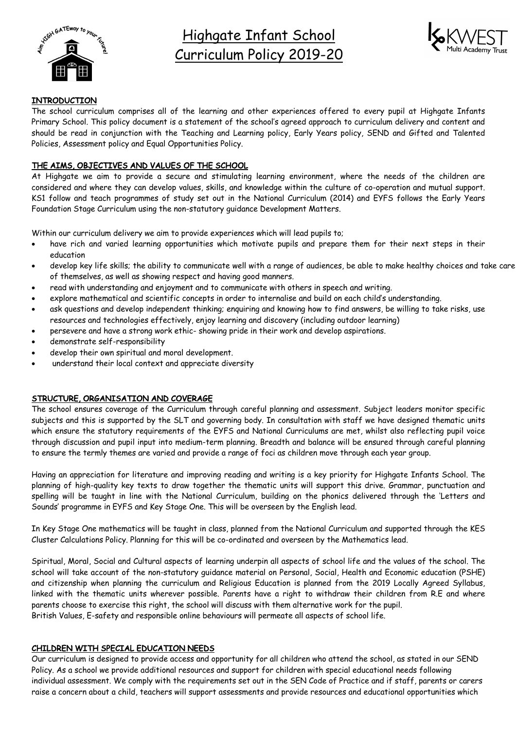

Highgate Infant School Curriculum Policy 2019-20



### **INTRODUCTION**

The school curriculum comprises all of the learning and other experiences offered to every pupil at Highgate Infants Primary School. This policy document is a statement of the school's agreed approach to curriculum delivery and content and should be read in conjunction with the Teaching and Learning policy, Early Years policy, SEND and Gifted and Talented Policies, Assessment policy and Equal Opportunities Policy.

# THE AIMS, OBJECTIVES AND VALUES OF THE SCHOOL

At Highgate we aim to provide a secure and stimulating learning environment, where the needs of the children are considered and where they can develop values, skills, and knowledge within the culture of co-operation and mutual support. KS1 follow and teach programmes of study set out in the National Curriculum (2014) and EYFS follows the Early Years Foundation Stage Curriculum using the non-statutory guidance Development Matters.

Within our curriculum delivery we aim to provide experiences which will lead pupils to;

- have rich and varied learning opportunities which motivate pupils and prepare them for their next steps in their education
- develop key life skills; the ability to communicate well with a range of audiences, be able to make healthy choices and take care of themselves, as well as showing respect and having good manners.
- read with understanding and enjoyment and to communicate with others in speech and writing.
- explore mathematical and scientific concepts in order to internalise and build on each child's understanding.
- ask questions and develop independent thinking; enquiring and knowing how to find answers, be willing to take risks, use resources and technologies effectively, enjoy learning and discovery (including outdoor learning)
- persevere and have a strong work ethic- showing pride in their work and develop aspirations.
- demonstrate self-responsibility
- develop their own spiritual and moral development.
- understand their local context and appreciate diversity

## STRUCTURE, ORGANISATION AND COVERAGE

The school ensures coverage of the Curriculum through careful planning and assessment. Subject leaders monitor specific subjects and this is supported by the SLT and governing body. In consultation with staff we have designed thematic units which ensure the statutory requirements of the EYFS and National Curriculums are met, whilst also reflecting pupil voice through discussion and pupil input into medium-term planning. Breadth and balance will be ensured through careful planning to ensure the termly themes are varied and provide a range of foci as children move through each year group.

Having an appreciation for literature and improving reading and writing is a key priority for Highgate Infants School. The planning of high-quality key texts to draw together the thematic units will support this drive. Grammar, punctuation and spelling will be taught in line with the National Curriculum, building on the phonics delivered through the 'Letters and Sounds' programme in EYFS and Key Stage One. This will be overseen by the English lead.

In Key Stage One mathematics will be taught in class, planned from the National Curriculum and supported through the KES Cluster Calculations Policy. Planning for this will be co-ordinated and overseen by the Mathematics lead.

Spiritual, Moral, Social and Cultural aspects of learning underpin all aspects of school life and the values of the school. The school will take account of the non-statutory guidance material on Personal, Social, Health and Economic education (PSHE) and citizenship when planning the curriculum and Religious Education is planned from the 2019 Locally Agreed Syllabus, linked with the thematic units wherever possible. Parents have a right to withdraw their children from R.E and where parents choose to exercise this right, the school will discuss with them alternative work for the pupil. British Values, E-safety and responsible online behaviours will permeate all aspects of school life.

## CHILDREN WITH SPECIAL EDUCATION NEEDS

Our curriculum is designed to provide access and opportunity for all children who attend the school, as stated in our SEND Policy. As a school we provide additional resources and support for children with special educational needs following individual assessment. We comply with the requirements set out in the SEN Code of Practice and if staff, parents or carers raise a concern about a child, teachers will support assessments and provide resources and educational opportunities which